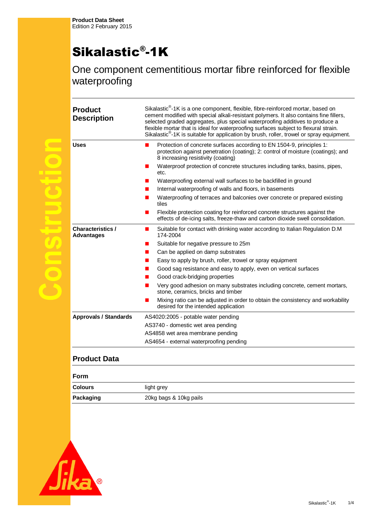$\overline{\mathbb{C}}$ 

 $\bigodot$ 

S

 $\bigcirc$ 

## Sikalastic® -1K

One component cementitious mortar fibre reinforced for flexible waterproofing

| <b>Product</b><br><b>Description</b>          | Sikalastic <sup>®</sup> -1K is a one component, flexible, fibre-reinforced mortar, based on<br>cement modified with special alkali-resistant polymers. It also contains fine fillers,<br>selected graded aggregates, plus special waterproofing additives to produce a<br>flexible mortar that is ideal for waterproofing surfaces subject to flexural strain.<br>Sikalastic <sup>®</sup> -1K is suitable for application by brush, roller, trowel or spray equipment. |
|-----------------------------------------------|------------------------------------------------------------------------------------------------------------------------------------------------------------------------------------------------------------------------------------------------------------------------------------------------------------------------------------------------------------------------------------------------------------------------------------------------------------------------|
| <b>Uses</b>                                   | Protection of concrete surfaces according to EN 1504-9, principles 1:<br>protection against penetration (coating); 2: control of moisture (coatings); and<br>8 increasing resistivity (coating)                                                                                                                                                                                                                                                                        |
|                                               | Waterproof protection of concrete structures including tanks, basins, pipes,<br>etc.                                                                                                                                                                                                                                                                                                                                                                                   |
|                                               | Waterproofing external wall surfaces to be backfilled in ground                                                                                                                                                                                                                                                                                                                                                                                                        |
|                                               | Internal waterproofing of walls and floors, in basements                                                                                                                                                                                                                                                                                                                                                                                                               |
|                                               | Waterproofing of terraces and balconies over concrete or prepared existing<br>tiles                                                                                                                                                                                                                                                                                                                                                                                    |
|                                               | Flexible protection coating for reinforced concrete structures against the<br>٠<br>effects of de-icing salts, freeze-thaw and carbon dioxide swell consolidation.                                                                                                                                                                                                                                                                                                      |
| <b>Characteristics /</b><br><b>Advantages</b> | Suitable for contact with drinking water according to Italian Regulation D.M<br>$\blacksquare$<br>174-2004                                                                                                                                                                                                                                                                                                                                                             |
|                                               | Suitable for negative pressure to 25m                                                                                                                                                                                                                                                                                                                                                                                                                                  |
|                                               | Can be applied on damp substrates                                                                                                                                                                                                                                                                                                                                                                                                                                      |
|                                               | Easy to apply by brush, roller, trowel or spray equipment                                                                                                                                                                                                                                                                                                                                                                                                              |
|                                               | Good sag resistance and easy to apply, even on vertical surfaces                                                                                                                                                                                                                                                                                                                                                                                                       |
|                                               | Good crack-bridging properties                                                                                                                                                                                                                                                                                                                                                                                                                                         |
|                                               | Very good adhesion on many substrates including concrete, cement mortars,<br>stone, ceramics, bricks and timber                                                                                                                                                                                                                                                                                                                                                        |
|                                               | Mixing ratio can be adjusted in order to obtain the consistency and workability<br>desired for the intended application                                                                                                                                                                                                                                                                                                                                                |
| <b>Approvals / Standards</b>                  | AS4020:2005 - potable water pending                                                                                                                                                                                                                                                                                                                                                                                                                                    |
|                                               | AS3740 - domestic wet area pending                                                                                                                                                                                                                                                                                                                                                                                                                                     |
|                                               | AS4858 wet area membrane pending                                                                                                                                                                                                                                                                                                                                                                                                                                       |
|                                               | AS4654 - external waterproofing pending                                                                                                                                                                                                                                                                                                                                                                                                                                |

## **Product Data**

| Form           |                        |
|----------------|------------------------|
| <b>Colours</b> | light grey             |
| Packaging      | 20kg bags & 10kg pails |

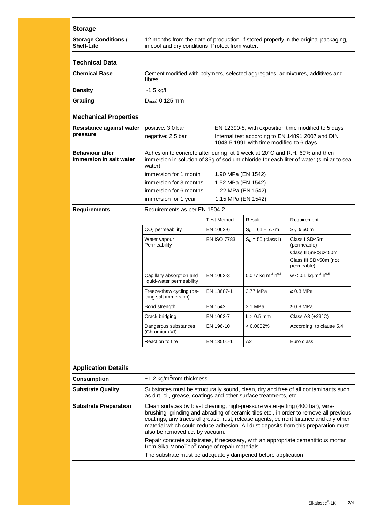| <b>Storage</b>                                    |                                                                                                                                                                                 |                                                                               |                                           |                                                                                                            |  |
|---------------------------------------------------|---------------------------------------------------------------------------------------------------------------------------------------------------------------------------------|-------------------------------------------------------------------------------|-------------------------------------------|------------------------------------------------------------------------------------------------------------|--|
| <b>Storage Conditions /</b><br><b>Shelf-Life</b>  | 12 months from the date of production, if stored properly in the original packaging,<br>in cool and dry conditions. Protect from water.                                         |                                                                               |                                           |                                                                                                            |  |
| <b>Technical Data</b>                             |                                                                                                                                                                                 |                                                                               |                                           |                                                                                                            |  |
| <b>Chemical Base</b>                              | fibres.                                                                                                                                                                         | Cement modified with polymers, selected aggregates, admixtures, additives and |                                           |                                                                                                            |  |
| <b>Density</b>                                    | $-1.5$ kg/l                                                                                                                                                                     |                                                                               |                                           |                                                                                                            |  |
| Grading                                           | $D_{\text{max}}$ : 0.125 mm                                                                                                                                                     |                                                                               |                                           |                                                                                                            |  |
| <b>Mechanical Properties</b>                      |                                                                                                                                                                                 |                                                                               |                                           |                                                                                                            |  |
| Resistance against water                          | positive: 3.0 bar<br>EN 12390-8, with exposition time modified to 5 days                                                                                                        |                                                                               |                                           |                                                                                                            |  |
| pressure                                          | negative: 2.5 bar<br>Internal test according to EN 14891:2007 and DIN<br>1048-5:1991 with time modified to 6 days                                                               |                                                                               |                                           |                                                                                                            |  |
| <b>Behaviour after</b><br>immersion in salt water | Adhesion to concrete after curing fot 1 week at 20°C and R.H. 60% and then<br>immersion in solution of 35g of sodium chloride for each liter of water (similar to sea<br>water) |                                                                               |                                           |                                                                                                            |  |
|                                                   | immersion for 1 month<br>1.90 MPa (EN 1542)                                                                                                                                     |                                                                               |                                           |                                                                                                            |  |
|                                                   | immersion for 3 months<br>1.52 MPa (EN 1542)                                                                                                                                    |                                                                               |                                           |                                                                                                            |  |
|                                                   | immersion for 6 months<br>1.22 MPa (EN 1542)                                                                                                                                    |                                                                               |                                           |                                                                                                            |  |
|                                                   | immersion for 1 year                                                                                                                                                            | 1.15 MPa (EN 1542)                                                            |                                           |                                                                                                            |  |
| <b>Requirements</b>                               | Requirements as per EN 1504-2                                                                                                                                                   |                                                                               |                                           |                                                                                                            |  |
|                                                   |                                                                                                                                                                                 | <b>Test Method</b>                                                            | Result                                    | Requirement                                                                                                |  |
|                                                   | $CO2$ permeability                                                                                                                                                              | EN 1062-6                                                                     | $S_D = 61 \pm 7.7m$                       | $S_n \geq 50$ m                                                                                            |  |
|                                                   | Water vapour<br>Permeability                                                                                                                                                    | <b>EN ISO 7783</b>                                                            | $S_D = 50$ (class I)                      | Class I SD<5m<br>(permeable)<br>Class II 5m <sd<50m<br>Class III SD&gt;50m (not<br/>permeable)</sd<50m<br> |  |
|                                                   | Capillary absorption and<br>liquid-water permeability                                                                                                                           | EN 1062-3                                                                     | 0.077 kg m <sup>-2</sup> h <sup>0.5</sup> | $w < 0.1$ kg.m <sup>-2</sup> .h <sup>0.5</sup>                                                             |  |
|                                                   | Freeze-thaw cycling (de-<br>icing salt immersion)                                                                                                                               | EN 13687-1                                                                    | 3.77 MPa                                  | $\geq 0.8$ MPa                                                                                             |  |
|                                                   | Bond strength                                                                                                                                                                   | EN 1542                                                                       | 2.1 MPa                                   | $\geq 0.8$ MPa                                                                                             |  |
|                                                   | Crack bridging                                                                                                                                                                  | EN 1062-7                                                                     | $L > 0.5$ mm                              | Class A3 $(+23^{\circ}C)$                                                                                  |  |
|                                                   | Dangerous substances<br>(Chromium VI)                                                                                                                                           | EN 196-10                                                                     | < 0.0002%                                 | According to clause 5.4                                                                                    |  |
|                                                   | Reaction to fire                                                                                                                                                                | EN 13501-1                                                                    | A2                                        | Euro class                                                                                                 |  |
| <b>Application Details</b>                        |                                                                                                                                                                                 |                                                                               |                                           |                                                                                                            |  |
| <b>Consumption</b>                                | $\sim$ 1.2 kg/m <sup>2</sup> /mm thickness                                                                                                                                      |                                                                               |                                           |                                                                                                            |  |

| <b>Consumption</b>           | $\sim$ 1.2 kg/m <sup>2</sup> /mm thickness                                                                                                                                                                                                                                                                                                                                               |
|------------------------------|------------------------------------------------------------------------------------------------------------------------------------------------------------------------------------------------------------------------------------------------------------------------------------------------------------------------------------------------------------------------------------------|
| <b>Substrate Quality</b>     | Substrates must be structurally sound, clean, dry and free of all contaminants such<br>as dirt, oil, grease, coatings and other surface treatments, etc.                                                                                                                                                                                                                                 |
| <b>Substrate Preparation</b> | Clean surfaces by blast cleaning, high-pressure water-jetting (400 bar), wire-<br>brushing, grinding and abrading of ceramic tiles etc., in order to remove all previous<br>coatings, any traces of grease, rust, release agents, cement laitance and any other<br>material which could reduce adhesion. All dust deposits from this preparation must<br>also be removed i.e. by vacuum. |
|                              | Repair concrete substrates, if necessary, with an appropriate cementitious mortar<br>from Sika MonoTop® range of repair materials.                                                                                                                                                                                                                                                       |
|                              | The substrate must be adequately dampened before application                                                                                                                                                                                                                                                                                                                             |
|                              |                                                                                                                                                                                                                                                                                                                                                                                          |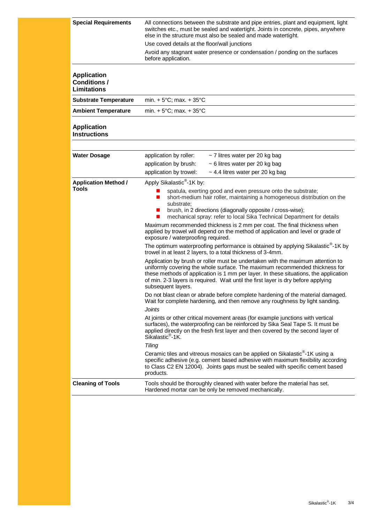| <b>Special Requirements</b>                                     | All connections between the substrate and pipe entries, plant and equipment, light<br>switches etc., must be sealed and watertight. Joints in concrete, pipes, anywhere<br>else in the structure must also be sealed and made watertight.                                                                                                                         |  |  |  |
|-----------------------------------------------------------------|-------------------------------------------------------------------------------------------------------------------------------------------------------------------------------------------------------------------------------------------------------------------------------------------------------------------------------------------------------------------|--|--|--|
|                                                                 | Use coved details at the floor/wall junctions                                                                                                                                                                                                                                                                                                                     |  |  |  |
|                                                                 | Avoid any stagnant water presence or condensation / ponding on the surfaces<br>before application.                                                                                                                                                                                                                                                                |  |  |  |
| <b>Application</b><br><b>Conditions /</b><br><b>Limitations</b> |                                                                                                                                                                                                                                                                                                                                                                   |  |  |  |
| <b>Substrate Temperature</b>                                    | min. $+5^{\circ}$ C; max. $+35^{\circ}$ C                                                                                                                                                                                                                                                                                                                         |  |  |  |
| <b>Ambient Temperature</b>                                      | min. $+5^{\circ}$ C; max. $+35^{\circ}$ C                                                                                                                                                                                                                                                                                                                         |  |  |  |
| <b>Application</b><br><b>Instructions</b>                       |                                                                                                                                                                                                                                                                                                                                                                   |  |  |  |
| <b>Water Dosage</b>                                             | ~ 7 litres water per 20 kg bag<br>application by roller:                                                                                                                                                                                                                                                                                                          |  |  |  |
|                                                                 | application by brush:<br>~ 6 litres water per 20 kg bag                                                                                                                                                                                                                                                                                                           |  |  |  |
|                                                                 | application by trowel:<br>$\sim$ 4.4 litres water per 20 kg bag                                                                                                                                                                                                                                                                                                   |  |  |  |
| <b>Application Method /</b>                                     | Apply Sikalastic <sup>®</sup> -1K by:                                                                                                                                                                                                                                                                                                                             |  |  |  |
| <b>Tools</b>                                                    | spatula, exerting good and even pressure onto the substrate;<br>short-medium hair roller, maintaining a homogeneous distribution on the<br>ш<br>substrate:<br>brush, in 2 directions (diagonally opposite / cross-wise);<br>п<br>mechanical spray: refer to local Sika Technical Department for details                                                           |  |  |  |
|                                                                 | Maximum recommended thickness is 2 mm per coat. The final thickness when<br>applied by trowel will depend on the method of application and level or grade of<br>exposure / waterproofing required.                                                                                                                                                                |  |  |  |
|                                                                 | The optimum waterproofing performance is obtained by applying Sikalastic <sup>®</sup> -1K by<br>trowel in at least 2 layers, to a total thickness of 3-4mm.                                                                                                                                                                                                       |  |  |  |
|                                                                 | Application by brush or roller must be undertaken with the maximum attention to<br>uniformly covering the whole surface. The maximum recommended thickness for<br>these methods of application is 1 mm per layer. In these situations, the application<br>of min. 2-3 layers is required. Wait until the first layer is dry before applying<br>subsequent layers. |  |  |  |
|                                                                 | Do not blast clean or abrade before complete hardening of the material damaged.<br>Wait for complete hardening, and then remove any roughness by light sanding.                                                                                                                                                                                                   |  |  |  |
|                                                                 | <b>Joints</b>                                                                                                                                                                                                                                                                                                                                                     |  |  |  |
|                                                                 | At joints or other critical movement areas (for example junctions with vertical<br>surfaces), the waterproofing can be reinforced by Sika Seal Tape S. It must be<br>applied directly on the fresh first layer and then covered by the second layer of<br>Sikalastic <sup>®</sup> -1K.                                                                            |  |  |  |
|                                                                 | <b>Tiling</b>                                                                                                                                                                                                                                                                                                                                                     |  |  |  |
|                                                                 | Ceramic tiles and vitreous mosaics can be applied on Sikalastic <sup>®</sup> -1K using a<br>specific adhesive (e.g. cement based adhesive with maximum flexibility according<br>to Class C2 EN 12004). Joints gaps must be sealed with specific cement based<br>products.                                                                                         |  |  |  |
| <b>Cleaning of Tools</b>                                        | Tools should be thoroughly cleaned with water before the material has set.<br>Hardened mortar can be only be removed mechanically.                                                                                                                                                                                                                                |  |  |  |